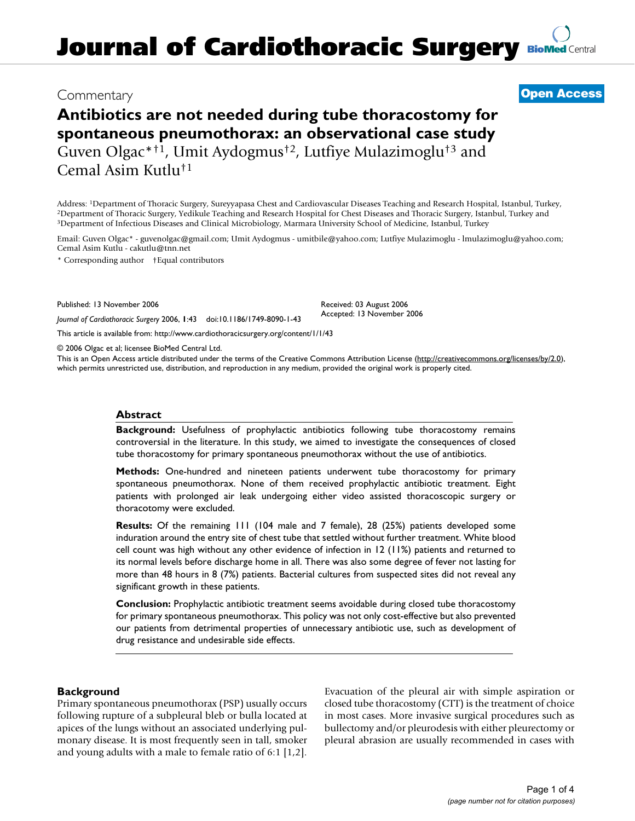# **Journal of Cardiothoracic Surgery [BioMed](http://www.biomedcentral.com/) Central**

## Commentary **[Open Access](http://www.biomedcentral.com/info/about/charter/)**

## **Antibiotics are not needed during tube thoracostomy for spontaneous pneumothorax: an observational case study** Guven Olgac\*†1, Umit Aydogmus†2, Lutfiye Mulazimoglu†3 and Cemal Asim Kutlu†1

Address: 1Department of Thoracic Surgery, Sureyyapasa Chest and Cardiovascular Diseases Teaching and Research Hospital, Istanbul, Turkey, <sup>2</sup>Department of Thoracic Surgery, Yedikule Teaching and Research Hospital for Chest Diseases and Thoracic Surgery, Istanbul, Turkey and<br><sup>3</sup>Department of Infectious Diseases and Clinical Microbiology, Marmara University Sc

Email: Guven Olgac\* - guvenolgac@gmail.com; Umit Aydogmus - umitbile@yahoo.com; Lutfiye Mulazimoglu - lmulazimoglu@yahoo.com; Cemal Asim Kutlu - cakutlu@tnn.net

\* Corresponding author †Equal contributors

Published: 13 November 2006

*Journal of Cardiothoracic Surgery* 2006, **1**:43 doi:10.1186/1749-8090-1-43

[This article is available from: http://www.cardiothoracicsurgery.org/content/1/1/43](http://www.cardiothoracicsurgery.org/content/1/1/43)

© 2006 Olgac et al; licensee BioMed Central Ltd.

This is an Open Access article distributed under the terms of the Creative Commons Attribution License [\(http://creativecommons.org/licenses/by/2.0\)](http://creativecommons.org/licenses/by/2.0), which permits unrestricted use, distribution, and reproduction in any medium, provided the original work is properly cited.

Received: 03 August 2006 Accepted: 13 November 2006

#### **Abstract**

**Background:** Usefulness of prophylactic antibiotics following tube thoracostomy remains controversial in the literature. In this study, we aimed to investigate the consequences of closed tube thoracostomy for primary spontaneous pneumothorax without the use of antibiotics.

**Methods:** One-hundred and nineteen patients underwent tube thoracostomy for primary spontaneous pneumothorax. None of them received prophylactic antibiotic treatment. Eight patients with prolonged air leak undergoing either video assisted thoracoscopic surgery or thoracotomy were excluded.

**Results:** Of the remaining 111 (104 male and 7 female), 28 (25%) patients developed some induration around the entry site of chest tube that settled without further treatment. White blood cell count was high without any other evidence of infection in 12 (11%) patients and returned to its normal levels before discharge home in all. There was also some degree of fever not lasting for more than 48 hours in 8 (7%) patients. Bacterial cultures from suspected sites did not reveal any significant growth in these patients.

**Conclusion:** Prophylactic antibiotic treatment seems avoidable during closed tube thoracostomy for primary spontaneous pneumothorax. This policy was not only cost-effective but also prevented our patients from detrimental properties of unnecessary antibiotic use, such as development of drug resistance and undesirable side effects.

## **Background**

Primary spontaneous pneumothorax (PSP) usually occurs following rupture of a subpleural bleb or bulla located at apices of the lungs without an associated underlying pulmonary disease. It is most frequently seen in tall, smoker and young adults with a male to female ratio of 6:1 [1,2]. Evacuation of the pleural air with simple aspiration or closed tube thoracostomy (CTT) is the treatment of choice in most cases. More invasive surgical procedures such as bullectomy and/or pleurodesis with either pleurectomy or pleural abrasion are usually recommended in cases with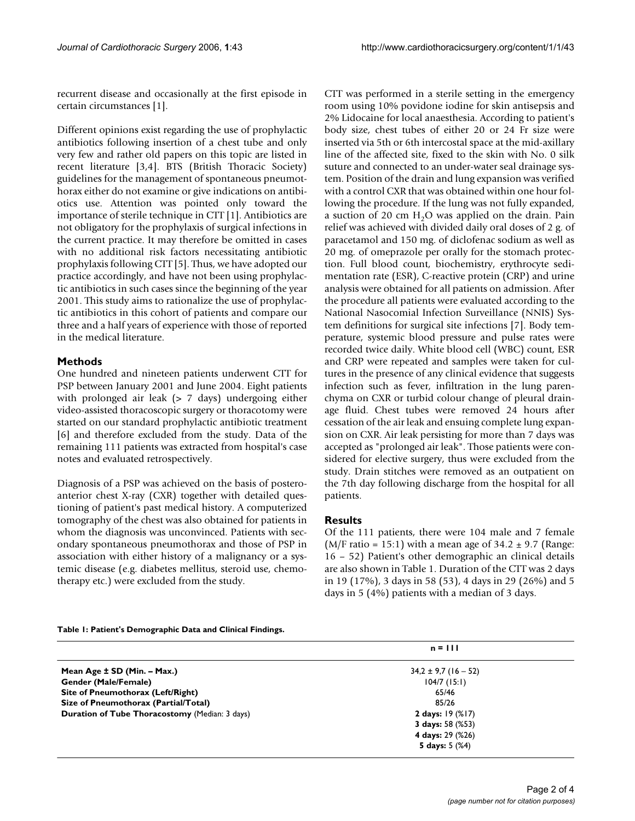recurrent disease and occasionally at the first episode in certain circumstances [1].

Different opinions exist regarding the use of prophylactic antibiotics following insertion of a chest tube and only very few and rather old papers on this topic are listed in recent literature [3,4]. BTS (British Thoracic Society) guidelines for the management of spontaneous pneumothorax either do not examine or give indications on antibiotics use. Attention was pointed only toward the importance of sterile technique in CTT [1]. Antibiotics are not obligatory for the prophylaxis of surgical infections in the current practice. It may therefore be omitted in cases with no additional risk factors necessitating antibiotic prophylaxis following CTT [5]. Thus, we have adopted our practice accordingly, and have not been using prophylactic antibiotics in such cases since the beginning of the year 2001. This study aims to rationalize the use of prophylactic antibiotics in this cohort of patients and compare our three and a half years of experience with those of reported in the medical literature.

## **Methods**

One hundred and nineteen patients underwent CTT for PSP between January 2001 and June 2004. Eight patients with prolonged air leak (> 7 days) undergoing either video-assisted thoracoscopic surgery or thoracotomy were started on our standard prophylactic antibiotic treatment [6] and therefore excluded from the study. Data of the remaining 111 patients was extracted from hospital's case notes and evaluated retrospectively.

Diagnosis of a PSP was achieved on the basis of posteroanterior chest X-ray (CXR) together with detailed questioning of patient's past medical history. A computerized tomography of the chest was also obtained for patients in whom the diagnosis was unconvinced. Patients with secondary spontaneous pneumothorax and those of PSP in association with either history of a malignancy or a systemic disease (e.g. diabetes mellitus, steroid use, chemotherapy etc.) were excluded from the study.

CTT was performed in a sterile setting in the emergency room using 10% povidone iodine for skin antisepsis and 2% Lidocaine for local anaesthesia. According to patient's body size, chest tubes of either 20 or 24 Fr size were inserted via 5th or 6th intercostal space at the mid-axillary line of the affected site, fixed to the skin with No. 0 silk suture and connected to an under-water seal drainage system. Position of the drain and lung expansion was verified with a control CXR that was obtained within one hour following the procedure. If the lung was not fully expanded, a suction of 20 cm  $H<sub>2</sub>O$  was applied on the drain. Pain relief was achieved with divided daily oral doses of 2 g. of paracetamol and 150 mg. of diclofenac sodium as well as 20 mg. of omeprazole per orally for the stomach protection. Full blood count, biochemistry, erythrocyte sedimentation rate (ESR), C-reactive protein (CRP) and urine analysis were obtained for all patients on admission. After the procedure all patients were evaluated according to the National Nasocomial Infection Surveillance (NNIS) System definitions for surgical site infections [7]. Body temperature, systemic blood pressure and pulse rates were recorded twice daily. White blood cell (WBC) count, ESR and CRP were repeated and samples were taken for cultures in the presence of any clinical evidence that suggests infection such as fever, infiltration in the lung parenchyma on CXR or turbid colour change of pleural drainage fluid. Chest tubes were removed 24 hours after cessation of the air leak and ensuing complete lung expansion on CXR. Air leak persisting for more than 7 days was accepted as "prolonged air leak". Those patients were considered for elective surgery, thus were excluded from the study. Drain stitches were removed as an outpatient on the 7th day following discharge from the hospital for all patients.

## **Results**

Of the 111 patients, there were 104 male and 7 female (M/F ratio = 15:1) with a mean age of  $34.2 \pm 9.7$  (Range: 16 – 52) Patient's other demographic an clinical details are also shown in Table 1. Duration of the CTT was 2 days in 19 (17%), 3 days in 58 (53), 4 days in 29 (26%) and 5 days in 5 (4%) patients with a median of 3 days.

**Table 1: Patient's Demographic Data and Clinical Findings.**

|                                                       | $n = 111$                |  |
|-------------------------------------------------------|--------------------------|--|
| Mean Age ± SD (Min. – Max.)                           | $34,2 \pm 9,7$ (16 - 52) |  |
| <b>Gender (Male/Female)</b>                           | $104/7$ (15:1)           |  |
| Site of Pneumothorax (Left/Right)                     | 65/46                    |  |
| Size of Pneumothorax (Partial/Total)                  | 85/26                    |  |
| <b>Duration of Tube Thoracostomy (Median: 3 days)</b> | 2 days: 19 (%17)         |  |
|                                                       | 3 days: $58$ (%53)       |  |
|                                                       | 4 days: 29 (%26)         |  |
|                                                       | 5 days: $5(%4)$          |  |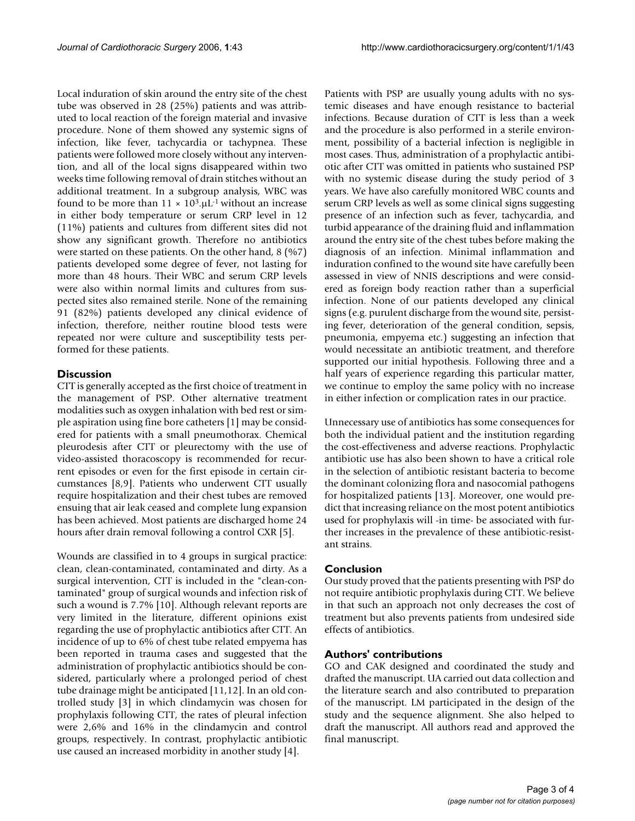Local induration of skin around the entry site of the chest tube was observed in 28 (25%) patients and was attributed to local reaction of the foreign material and invasive procedure. None of them showed any systemic signs of infection, like fever, tachycardia or tachypnea. These patients were followed more closely without any intervention, and all of the local signs disappeared within two weeks time following removal of drain stitches without an additional treatment. In a subgroup analysis, WBC was found to be more than  $11 \times 10^3$ .µL<sup>-1</sup> without an increase in either body temperature or serum CRP level in 12 (11%) patients and cultures from different sites did not show any significant growth. Therefore no antibiotics were started on these patients. On the other hand, 8 (%7) patients developed some degree of fever, not lasting for more than 48 hours. Their WBC and serum CRP levels were also within normal limits and cultures from suspected sites also remained sterile. None of the remaining 91 (82%) patients developed any clinical evidence of infection, therefore, neither routine blood tests were repeated nor were culture and susceptibility tests performed for these patients.

#### **Discussion**

CTT is generally accepted as the first choice of treatment in the management of PSP. Other alternative treatment modalities such as oxygen inhalation with bed rest or simple aspiration using fine bore catheters [1] may be considered for patients with a small pneumothorax. Chemical pleurodesis after CTT or pleurectomy with the use of video-assisted thoracoscopy is recommended for recurrent episodes or even for the first episode in certain circumstances [8,9]. Patients who underwent CTT usually require hospitalization and their chest tubes are removed ensuing that air leak ceased and complete lung expansion has been achieved. Most patients are discharged home 24 hours after drain removal following a control CXR [5].

Wounds are classified in to 4 groups in surgical practice: clean, clean-contaminated, contaminated and dirty. As a surgical intervention, CTT is included in the "clean-contaminated" group of surgical wounds and infection risk of such a wound is 7.7% [10]. Although relevant reports are very limited in the literature, different opinions exist regarding the use of prophylactic antibiotics after CTT. An incidence of up to 6% of chest tube related empyema has been reported in trauma cases and suggested that the administration of prophylactic antibiotics should be considered, particularly where a prolonged period of chest tube drainage might be anticipated [11,12]. In an old controlled study [3] in which clindamycin was chosen for prophylaxis following CTT, the rates of pleural infection were 2,6% and 16% in the clindamycin and control groups, respectively. In contrast, prophylactic antibiotic use caused an increased morbidity in another study [4].

Patients with PSP are usually young adults with no systemic diseases and have enough resistance to bacterial infections. Because duration of CTT is less than a week and the procedure is also performed in a sterile environment, possibility of a bacterial infection is negligible in most cases. Thus, administration of a prophylactic antibiotic after CTT was omitted in patients who sustained PSP with no systemic disease during the study period of 3 years. We have also carefully monitored WBC counts and serum CRP levels as well as some clinical signs suggesting presence of an infection such as fever, tachycardia, and turbid appearance of the draining fluid and inflammation around the entry site of the chest tubes before making the diagnosis of an infection. Minimal inflammation and induration confined to the wound site have carefully been assessed in view of NNIS descriptions and were considered as foreign body reaction rather than a superficial infection. None of our patients developed any clinical signs (e.g. purulent discharge from the wound site, persisting fever, deterioration of the general condition, sepsis, pneumonia, empyema etc.) suggesting an infection that would necessitate an antibiotic treatment, and therefore supported our initial hypothesis. Following three and a half years of experience regarding this particular matter, we continue to employ the same policy with no increase in either infection or complication rates in our practice.

Unnecessary use of antibiotics has some consequences for both the individual patient and the institution regarding the cost-effectiveness and adverse reactions. Prophylactic antibiotic use has also been shown to have a critical role in the selection of antibiotic resistant bacteria to become the dominant colonizing flora and nasocomial pathogens for hospitalized patients [13]. Moreover, one would predict that increasing reliance on the most potent antibiotics used for prophylaxis will -in time- be associated with further increases in the prevalence of these antibiotic-resistant strains.

### **Conclusion**

Our study proved that the patients presenting with PSP do not require antibiotic prophylaxis during CTT. We believe in that such an approach not only decreases the cost of treatment but also prevents patients from undesired side effects of antibiotics.

#### **Authors' contributions**

GO and CAK designed and coordinated the study and drafted the manuscript. UA carried out data collection and the literature search and also contributed to preparation of the manuscript. LM participated in the design of the study and the sequence alignment. She also helped to draft the manuscript. All authors read and approved the final manuscript.